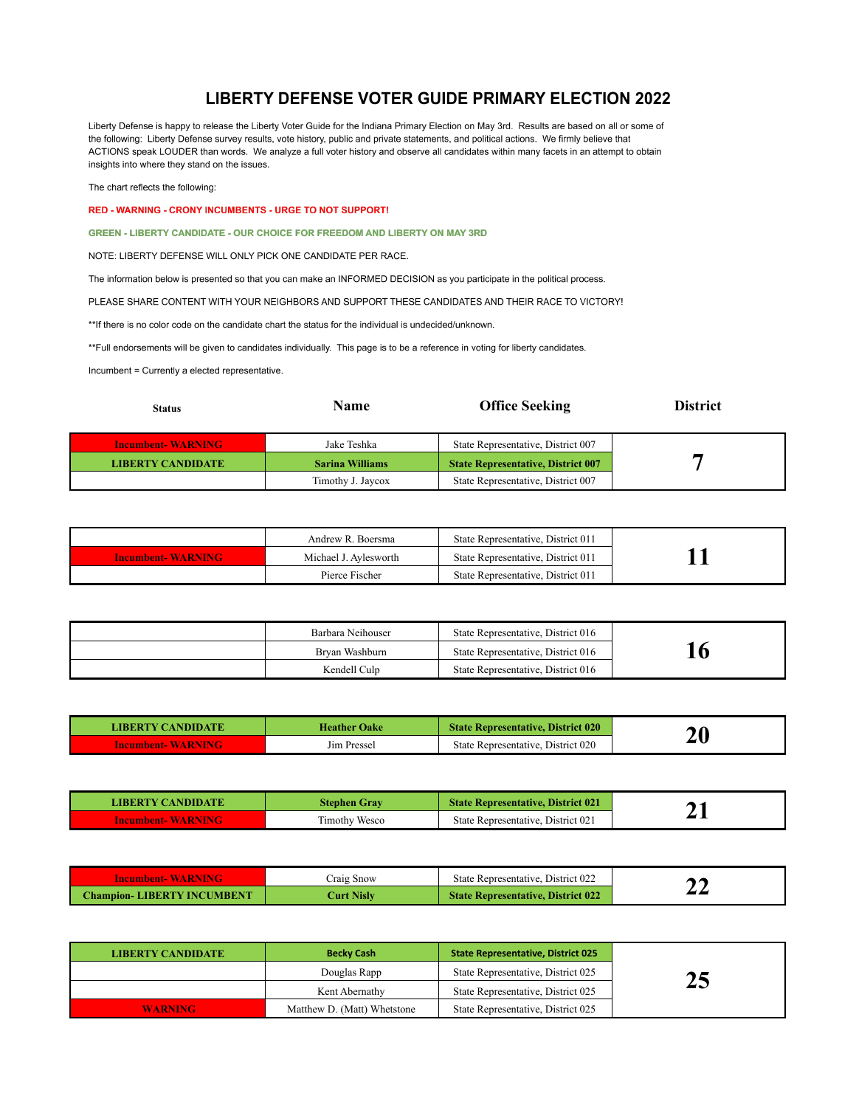## **LIBERTY DEFENSE VOTER GUIDE PRIMARY ELECTION 2022**

Liberty Defense is happy to release the Liberty Voter Guide for the Indiana Primary Election on May 3rd. Results are based on all or some of the following: Liberty Defense survey results, vote history, public and private statements, and political actions. We firmly believe that ACTIONS speak LOUDER than words. We analyze a full voter history and observe all candidates within many facets in an attempt to obtain insights into where they stand on the issues.

The chart reflects the following:

RED - WARNING - CRONY INCUMBENTS - URGE TO NOT SUPPORT!

**GREEN - LIBERTY CANDIDATE - OUR CHOICE FOR FREEDOM AND LIBERTY ON MAY 3RD** 

NOTE: LIBERTY DEFENSE WILL ONLY PICK ONE CANDIDATE PER RACE.

The information below is presented so that you can make an INFORMED DECISION as you participate in the political process.

PLEASE SHARE CONTENT WITH YOUR NEIGHBORS AND SUPPORT THESE CANDIDATES AND THEIR RACE TO VICTORY!

\*\* If there is no color code on the candidate chart the status for the individual is undecided/unknown.

\*\* Full endorsements will be given to candidates individually. This page is to be a reference in voting for liberty candidates.

Incumbent = Currently a elected representative.

| <b>Status</b>            | Name                   | <b>Office Seeking</b>                     | <b>District</b> |
|--------------------------|------------------------|-------------------------------------------|-----------------|
| <b>Incumbent-WARNING</b> | Jake Teshka            | State Representative, District 007        |                 |
| <b>LIBERTY CANDIDATE</b> | <b>Sarina Williams</b> | <b>State Representative, District 007</b> |                 |
|                          | Timothy J. Javcox      | State Representative, District 007        |                 |

|                          | Andrew R. Boersma     | State Representative, District 011 |  |
|--------------------------|-----------------------|------------------------------------|--|
| <b>Incumbent-WARNING</b> | Michael J. Aylesworth | State Representative, District 011 |  |
|                          | Pierce Fischer        | State Representative, District 011 |  |

| Barbara Neihouser | State Representative, District 016 |    |
|-------------------|------------------------------------|----|
| Brvan Washburn    | State Representative, District 016 | 10 |
| Kendell Culp      | State Representative, District 016 |    |

| LIBERTY CANDIDATE        | <b>Heather Oake</b> | <b>State Representative, District 020</b> | $\boldsymbol{20}$ |
|--------------------------|---------------------|-------------------------------------------|-------------------|
| <b>Incumbent-WARNING</b> | Jim Pressel         | State Representative, District 020        |                   |

| LIBERTY CANDIDATE   | Stephen Grav         | <b>State Representative, District 021</b> |  |
|---------------------|----------------------|-------------------------------------------|--|
| Incumbent- WARNING- | <b>Timothy Wesco</b> | State Representative. District 021        |  |

| <b>Incumbent-WARNING</b>          | Craig Snow        | State Representative, District 022        | ΑR |
|-----------------------------------|-------------------|-------------------------------------------|----|
| <b>Champion-LIBERTY INCUMBENT</b> | <b>Turt Nislv</b> | <b>State Representative, District 022</b> |    |

| <b>LIBERTY CANDIDATE</b> | <b>Becky Cash</b>           | <b>State Representative, District 025</b> |    |
|--------------------------|-----------------------------|-------------------------------------------|----|
|                          | Douglas Rapp                | State Representative, District 025        | 25 |
|                          | Kent Abernathy              | State Representative, District 025        | ⇔  |
| <b>WARNING</b>           | Matthew D. (Matt) Whetstone | State Representative, District 025        |    |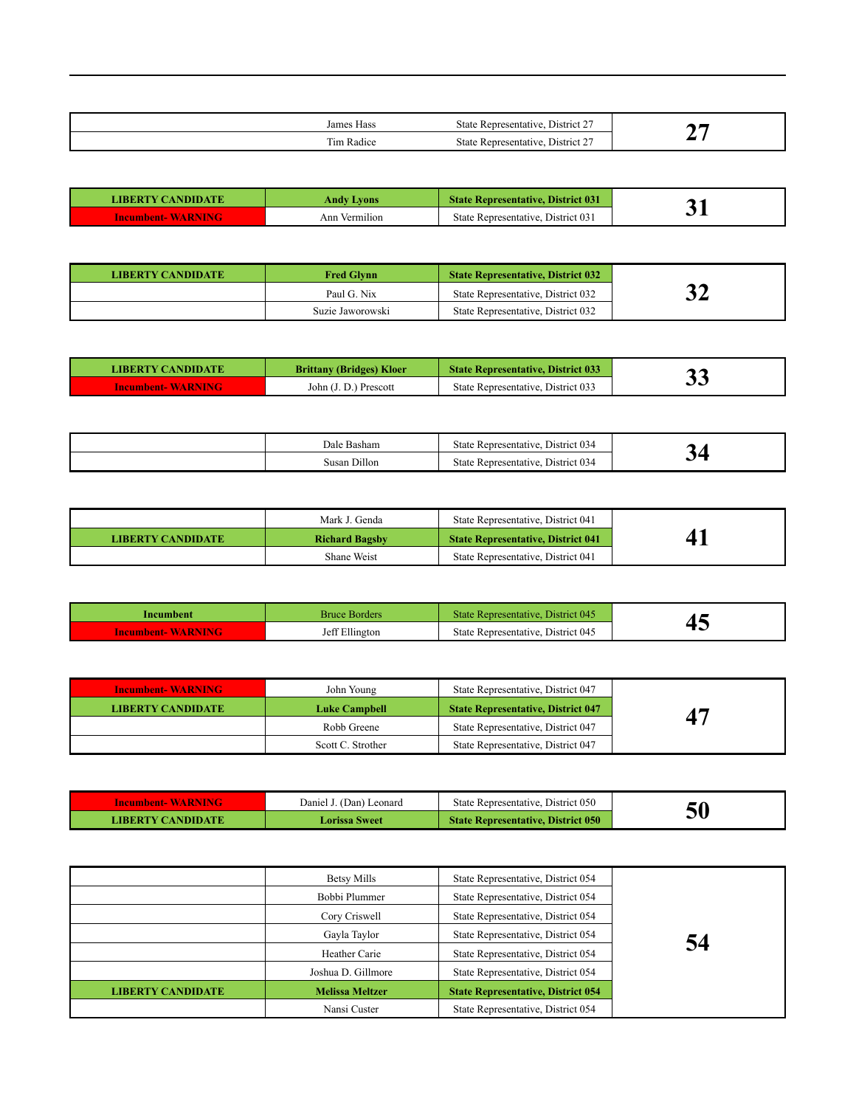| Чass<br>Jam                    | $\sim$ $\sim$ $\sim$<br>$\frac{1}{2}$ District $\frac{1}{2}$<br>State<br>…ntative<br>-Renre |  |
|--------------------------------|---------------------------------------------------------------------------------------------|--|
| m.<br>$\sim$<br>ım<br>- Radice | $\sim$<br>District 2<br>state<br>sentative<br>-Repre                                        |  |

| LIBERTY CANDIDATE        | Andy Lvons    | State Representative. District 031    |  |
|--------------------------|---------------|---------------------------------------|--|
| <b>Incumbent-WARNING</b> | Ann Vermilion | District 031<br>State Representative. |  |

| <b>LIBERTY CANDIDATE</b> | <b>Fred Glynn</b> | <b>State Representative, District 032</b> |    |
|--------------------------|-------------------|-------------------------------------------|----|
|                          | Paul G. Nix       | State Representative, District 032        | ⌒⌒ |
|                          | Suzie Jaworowski  | State Representative, District 032        |    |

| <b>LIBERTY CANDIDATE</b> | <b>Brittany (Bridges) Kloer</b> | <b>State Representative, District 033</b> | ,, |
|--------------------------|---------------------------------|-------------------------------------------|----|
| <b>Incumbent-WARNING</b> | John (J. D.) Prescott           | State Representative, District 033        | ◡◡ |

| $\sqrt{2}$<br>Jale<br>: Basham | District 034<br>State<br>: Representative. |  |
|--------------------------------|--------------------------------------------|--|
| Dillon<br>Susan                | District 034<br>State<br>: Representative. |  |

|                          | Mark J. Genda         | State Representative, District 041        |  |
|--------------------------|-----------------------|-------------------------------------------|--|
| <b>LIBERTY CANDIDATE</b> | <b>Richard Bagsby</b> | <b>State Representative, District 041</b> |  |
|                          | Shane Weist           | State Representative, District 041        |  |

| Incumbent                | Bruce Borders  | State Representative, District 045 |  |
|--------------------------|----------------|------------------------------------|--|
| <b>Incumbent-WARNING</b> | Jeff Ellington | State Representative, District 045 |  |

| <b>Incumbent-WARNING</b> | John Young           | State Representative, District 047        |                             |
|--------------------------|----------------------|-------------------------------------------|-----------------------------|
| <b>LIBERTY CANDIDATE</b> | <b>Luke Campbell</b> | <b>State Representative, District 047</b> | $\mathbf{A}^{\prime\prime}$ |
|                          | Robb Greene          | State Representative, District 047        |                             |
|                          | Scott C. Strother    | State Representative, District 047        |                             |

| Incumbent- WARNING- | Daniel J.<br>J. (Dan) Leonard | State Representative, District 050        |    |
|---------------------|-------------------------------|-------------------------------------------|----|
| LIBERTY CANDIDATE.  | Lorissa Sweet                 | <b>State Representative, District 050</b> | ЭU |

|                          | Betsy Mills<br>Bobbi Plummer<br>Cory Criswell<br>Gayla Taylor | State Representative, District 054<br>State Representative, District 054<br>State Representative, District 054<br>State Representative, District 054 | 54 |
|--------------------------|---------------------------------------------------------------|------------------------------------------------------------------------------------------------------------------------------------------------------|----|
|                          | Heather Carie                                                 | State Representative, District 054                                                                                                                   |    |
|                          | Joshua D. Gillmore                                            | State Representative, District 054                                                                                                                   |    |
| <b>LIBERTY CANDIDATE</b> | <b>Melissa Meltzer</b>                                        | <b>State Representative, District 054</b>                                                                                                            |    |
|                          | Nansi Custer                                                  | State Representative, District 054                                                                                                                   |    |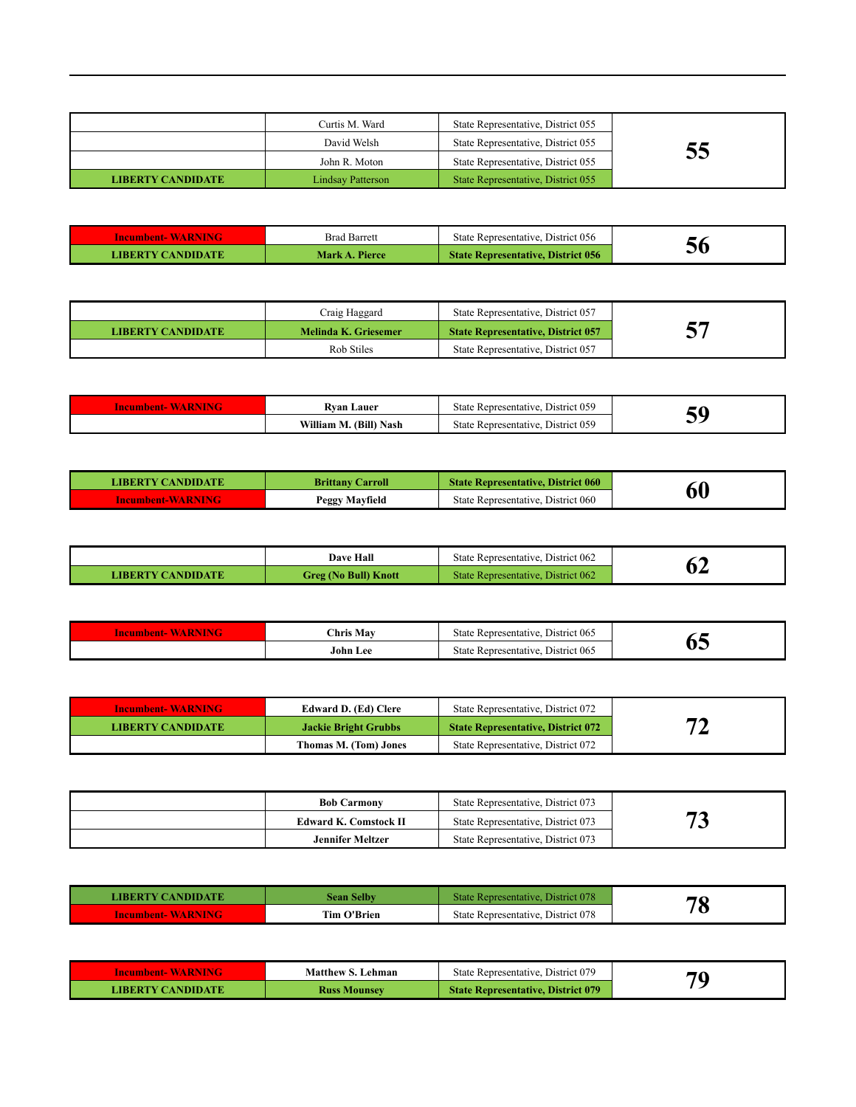|                          | Curtis M. Ward    | State Representative, District 055 |    |
|--------------------------|-------------------|------------------------------------|----|
|                          | David Welsh       | State Representative, District 055 |    |
|                          | John R. Moton     | State Representative, District 055 | ວວ |
| <b>LIBERTY CANDIDATE</b> | Lindsay Patterson | State Representative, District 055 |    |

| <b>Incumbent-WARNING</b> | <b>Brad Barrett</b> | State Representative. District 056        |    |
|--------------------------|---------------------|-------------------------------------------|----|
| LIBERTY CANDIDATE        | Mark A. Pierce      | <b>State Representative, District 056</b> | JС |

|                          | Craig Haggard        | State Representative, District 057        |  |
|--------------------------|----------------------|-------------------------------------------|--|
| <b>LIBERTY CANDIDATE</b> | Melinda K. Griesemer | <b>State Representative, District 057</b> |  |
|                          | Rob Stiles           | State Representative, District 057        |  |

| w | ∟auer<br>Rvan<br>.             | District 059<br>. Representative<br>state    |  |
|---|--------------------------------|----------------------------------------------|--|
|   | .<br>(Bill)<br>Nash<br>Vıllıam | District 059<br>state<br>Representative<br>. |  |

| <b>LIBERTY CANDIDATE</b> | <b>Brittany Carroll</b> | <b>State Representative, District 060</b> |    |
|--------------------------|-------------------------|-------------------------------------------|----|
| <b>Incumbent-WARNING</b> | Peggy Mayfield          | State Representative. District 060        | 60 |

|                   | <b>Dave Hall</b>     | State Representative. District 062 |              |
|-------------------|----------------------|------------------------------------|--------------|
| LIBERTY CANDIDATE | Greg (No Bull) Knott | State Representative, District 062 | $\mathbf{0}$ |

| × | <b>Chris Mav</b> | District 06:<br>State<br>e Representative |     |
|---|------------------|-------------------------------------------|-----|
|   | John<br>.ee      | District 065<br>State<br>Representative   | - - |

| <b>Incumbent-WARNING</b> | Edward D. (Ed) Clere  | State Representative. District 072        |    |
|--------------------------|-----------------------|-------------------------------------------|----|
| <b>LIBERTY CANDIDATE</b> | Jackie Bright Grubbs  | <b>State Representative, District 072</b> | 74 |
|                          | Thomas M. (Tom) Jones | State Representative, District 072        |    |

| <b>Bob Carmony</b>           | State Representative, District 073 |   |
|------------------------------|------------------------------------|---|
| <b>Edward K. Comstock II</b> | State Representative, District 073 | w |
| <b>Jennifer Meltzer</b>      | State Representative, District 073 |   |

| LIBERTY CANDIDATE        | Sean Selbv         | State Representative. District 078 | 70 |
|--------------------------|--------------------|------------------------------------|----|
| <b>Incumbent-WARNING</b> | <b>Tim O'Brien</b> | State Representative, District 078 | æ  |

| Incumbent-WARNING | <b>Matthew S. Lehman</b> | State Representative, District 079        | 70 |
|-------------------|--------------------------|-------------------------------------------|----|
| LIBERTY CANDIDATE | <b>Russ Mounsey</b>      | <b>State Representative, District 079</b> |    |